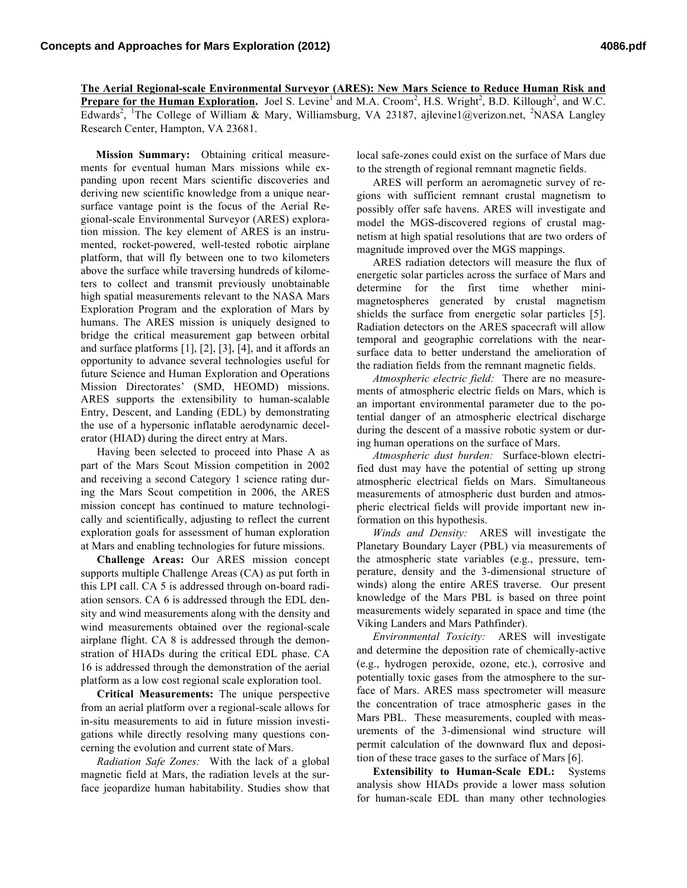**The Aerial Regional-scale Environmental Surveyor (ARES): New Mars Science to Reduce Human Risk and Prepare for the Human Exploration.** Joel S. Levine<sup>1</sup> and M.A. Croom<sup>2</sup>, H.S. Wright<sup>2</sup>, B.D. Killough<sup>2</sup>, and W.C. Edwards<sup>2</sup>, <sup>1</sup>The College of William & Mary, Williamsburg, VA 23187, ajlevine1@verizon.net, <sup>2</sup>NASA Langley Research Center, Hampton, VA 23681.

**Mission Summary:** Obtaining critical measurements for eventual human Mars missions while expanding upon recent Mars scientific discoveries and deriving new scientific knowledge from a unique nearsurface vantage point is the focus of the Aerial Regional-scale Environmental Surveyor (ARES) exploration mission. The key element of ARES is an instrumented, rocket-powered, well-tested robotic airplane platform, that will fly between one to two kilometers above the surface while traversing hundreds of kilometers to collect and transmit previously unobtainable high spatial measurements relevant to the NASA Mars Exploration Program and the exploration of Mars by humans. The ARES mission is uniquely designed to bridge the critical measurement gap between orbital and surface platforms [1], [2], [3], [4], and it affords an opportunity to advance several technologies useful for future Science and Human Exploration and Operations Mission Directorates' (SMD, HEOMD) missions. ARES supports the extensibility to human-scalable Entry, Descent, and Landing (EDL) by demonstrating the use of a hypersonic inflatable aerodynamic decelerator (HIAD) during the direct entry at Mars.

Having been selected to proceed into Phase A as part of the Mars Scout Mission competition in 2002 and receiving a second Category 1 science rating during the Mars Scout competition in 2006, the ARES mission concept has continued to mature technologically and scientifically, adjusting to reflect the current exploration goals for assessment of human exploration at Mars and enabling technologies for future missions.

**Challenge Areas:** Our ARES mission concept supports multiple Challenge Areas (CA) as put forth in this LPI call. CA 5 is addressed through on-board radiation sensors. CA 6 is addressed through the EDL density and wind measurements along with the density and wind measurements obtained over the regional-scale airplane flight. CA 8 is addressed through the demonstration of HIADs during the critical EDL phase. CA 16 is addressed through the demonstration of the aerial platform as a low cost regional scale exploration tool.

**Critical Measurements:** The unique perspective from an aerial platform over a regional-scale allows for in-situ measurements to aid in future mission investigations while directly resolving many questions concerning the evolution and current state of Mars.

*Radiation Safe Zones:* With the lack of a global magnetic field at Mars, the radiation levels at the surface jeopardize human habitability. Studies show that local safe-zones could exist on the surface of Mars due to the strength of regional remnant magnetic fields.

ARES will perform an aeromagnetic survey of regions with sufficient remnant crustal magnetism to possibly offer safe havens. ARES will investigate and model the MGS-discovered regions of crustal magnetism at high spatial resolutions that are two orders of magnitude improved over the MGS mappings.

ARES radiation detectors will measure the flux of energetic solar particles across the surface of Mars and determine for the first time whether minimagnetospheres generated by crustal magnetism shields the surface from energetic solar particles [5]. Radiation detectors on the ARES spacecraft will allow temporal and geographic correlations with the nearsurface data to better understand the amelioration of the radiation fields from the remnant magnetic fields.

*Atmospheric electric field:* There are no measurements of atmospheric electric fields on Mars, which is an important environmental parameter due to the potential danger of an atmospheric electrical discharge during the descent of a massive robotic system or during human operations on the surface of Mars.

*Atmospheric dust burden:* Surface-blown electrified dust may have the potential of setting up strong atmospheric electrical fields on Mars. Simultaneous measurements of atmospheric dust burden and atmospheric electrical fields will provide important new information on this hypothesis.

*Winds and Density:* ARES will investigate the Planetary Boundary Layer (PBL) via measurements of the atmospheric state variables (e.g., pressure, temperature, density and the 3-dimensional structure of winds) along the entire ARES traverse. Our present knowledge of the Mars PBL is based on three point measurements widely separated in space and time (the Viking Landers and Mars Pathfinder).

*Environmental Toxicity:* ARES will investigate and determine the deposition rate of chemically-active (e.g., hydrogen peroxide, ozone, etc.), corrosive and potentially toxic gases from the atmosphere to the surface of Mars. ARES mass spectrometer will measure the concentration of trace atmospheric gases in the Mars PBL. These measurements, coupled with measurements of the 3-dimensional wind structure will permit calculation of the downward flux and deposition of these trace gases to the surface of Mars [6].

**Extensibility to Human-Scale EDL:** Systems analysis show HIADs provide a lower mass solution for human-scale EDL than many other technologies